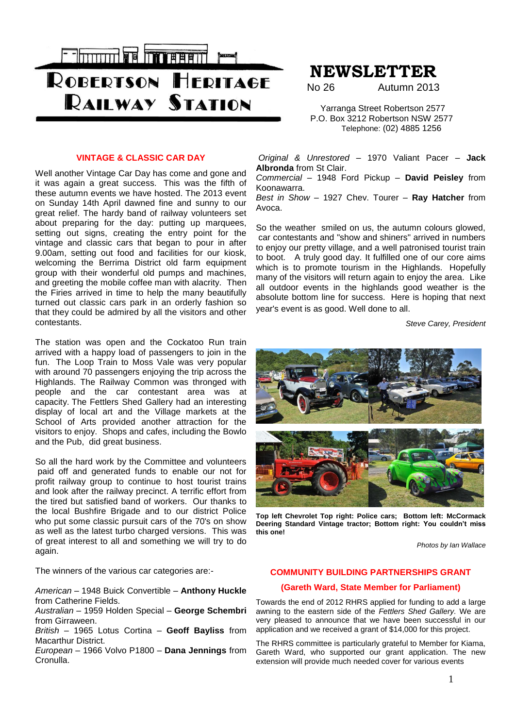

# **NEWSLETTER**

No 26 Autumn 2013

 Yarranga Street Robertson 2577 P.O. Box 3212 Robertson NSW 2577 Telephone: (02) 4885 1256

#### **VINTAGE & CLASSIC CAR DAY**

Well another Vintage Car Day has come and gone and it was again a great success. This was the fifth of these autumn events we have hosted. The 2013 event on Sunday 14th April dawned fine and sunny to our great relief. The hardy band of railway volunteers set about preparing for the day: putting up marquees, setting out signs, creating the entry point for the vintage and classic cars that began to pour in after 9.00am, setting out food and facilities for our kiosk, welcoming the Berrima District old farm equipment group with their wonderful old pumps and machines, and greeting the mobile coffee man with alacrity. Then the Firies arrived in time to help the many beautifully turned out classic cars park in an orderly fashion so that they could be admired by all the visitors and other contestants.

The station was open and the Cockatoo Run train arrived with a happy load of passengers to join in the fun. The Loop Train to Moss Vale was very popular with around 70 passengers enjoying the trip across the Highlands. The Railway Common was thronged with people and the car contestant area was at capacity. The Fettlers Shed Gallery had an interesting display of local art and the Village markets at the School of Arts provided another attraction for the visitors to enjoy. Shops and cafes, including the Bowlo and the Pub, did great business.

So all the hard work by the Committee and volunteers paid off and generated funds to enable our not for profit railway group to continue to host tourist trains and look after the railway precinct. A terrific effort from the tired but satisfied band of workers. Our thanks to the local Bushfire Brigade and to our district Police who put some classic pursuit cars of the 70's on show as well as the latest turbo charged versions. This was of great interest to all and something we will try to do again.

The winners of the various car categories are:-

*American* – 1948 Buick Convertible – **Anthony Huckle** from Catherine Fields.

*Australian* – 1959 Holden Special – **George Schembri** from Girraween.

*British* – 1965 Lotus Cortina – **Geoff Bayliss** from Macarthur District.

*European* – 1966 Volvo P1800 – **Dana Jennings** from Cronulla.

*Original & Unrestored* – 1970 Valiant Pacer – **Jack Albronda** from St Clair.

*Commercial* – 1948 Ford Pickup – **David Peisley** from Koonawarra.

*Best in Show* – 1927 Chev. Tourer – **Ray Hatcher** from Avoca.

So the weather smiled on us, the autumn colours glowed, car contestants and "show and shiners" arrived in numbers to enjoy our pretty village, and a well patronised tourist train to boot. A truly good day. It fulfilled one of our core aims which is to promote tourism in the Highlands. Hopefully many of the visitors will return again to enjoy the area. Like all outdoor events in the highlands good weather is the absolute bottom line for success. Here is hoping that next year's event is as good. Well done to all.

*Steve Carey, President*



**Top left Chevrolet Top right: Police cars; Bottom left: McCormack Deering Standard Vintage tractor; Bottom right: You couldn't miss this one!**

*Photos by Ian Wallace*

## **COMMUNITY BUILDING PARTNERSHIPS GRANT**

### **(Gareth Ward, State Member for Parliament)**

Towards the end of 2012 RHRS applied for funding to add a large awning to the eastern side of the *Fettlers Shed Gallery.* We are very pleased to announce that we have been successful in our application and we received a grant of \$14,000 for this project.

The RHRS committee is particularly grateful to Member for Kiama, Gareth Ward, who supported our grant application. The new extension will provide much needed cover for various events